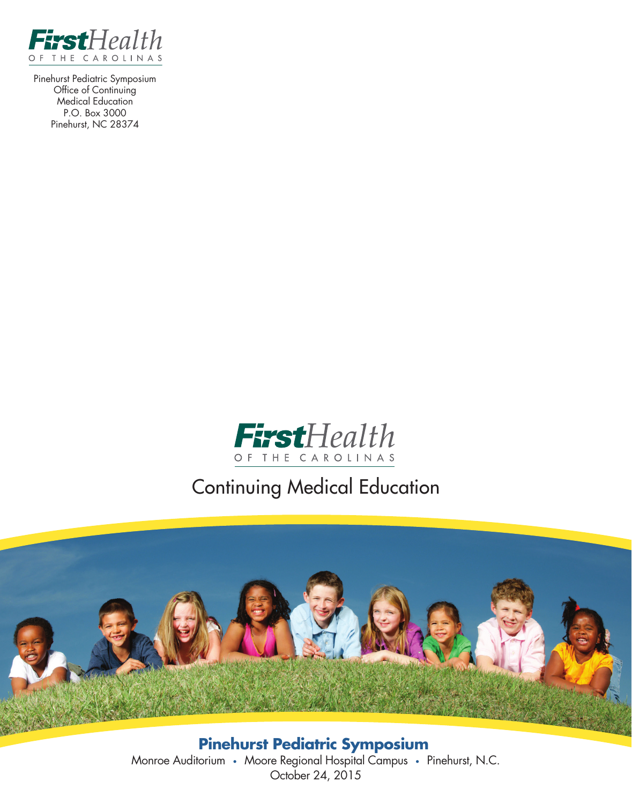

Pinehurst Pediatric Symposium Office of Continuing Medical Education P.O. Box 3000 Pinehurst, NC 28374



# Continuing Medical Education



**Pinehurst Pediatric Symposium** Monroe Auditorium • Moore Regional Hospital Campus • Pinehurst, N.C. October 24, 2015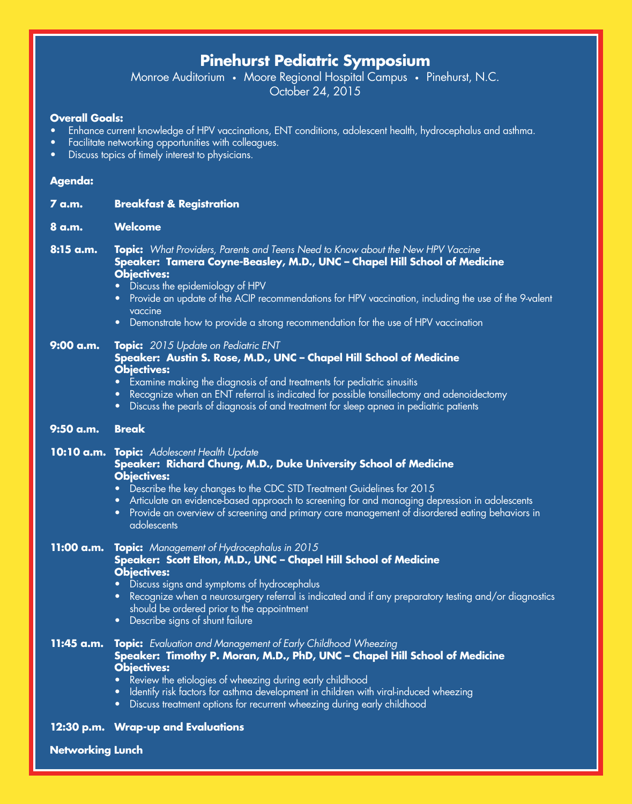# **Pinehurst Pediatric Symposium**

Monroe Auditorium • Moore Regional Hospital Campus • Pinehurst, N.C. October 24, 2015

#### **Overall Goals:**

- Enhance current knowledge of HPV vaccinations, ENT conditions, adolescent health, hydrocephalus and asthma.
- Facilitate networking opportunities with colleagues.
- Discuss topics of timely interest to physicians.

#### **Agenda:**

| <u>7 a.m.</u>           | <b>Breakfast &amp; Registration</b>                                                                                                                                                                                                                                                                                                                                                                                                                       |  |  |
|-------------------------|-----------------------------------------------------------------------------------------------------------------------------------------------------------------------------------------------------------------------------------------------------------------------------------------------------------------------------------------------------------------------------------------------------------------------------------------------------------|--|--|
| 8 a.m.                  | <b>Welcome</b>                                                                                                                                                                                                                                                                                                                                                                                                                                            |  |  |
| 8:15 a.m.               | Topic: What Providers, Parents and Teens Need to Know about the New HPV Vaccine<br>Speaker: Tamera Coyne-Beasley, M.D., UNC – Chapel Hill School of Medicine<br><b>Objectives:</b><br>Discuss the epidemiology of HPV<br>• Provide an update of the ACIP recommendations for HPV vaccination, including the use of the 9-valent<br>vaccine<br>• Demonstrate how to provide a strong recommendation for the use of HPV vaccination                         |  |  |
| 9:00 a.m.               | Topic: 2015 Update on Pediatric ENT<br>Speaker: Austin S. Rose, M.D., UNC - Chapel Hill School of Medicine<br><b>Objectives:</b><br>Examine making the diagnosis of and treatments for pediatric sinusitis<br>Recognize when an ENT referral is indicated for possible tonsillectomy and adenoidectomy<br>$\bullet$<br>Discuss the pearls of diagnosis of and treatment for sleep apnea in pediatric patients<br>$\bullet$                                |  |  |
| 9:50 a.m.               | <b>Break</b>                                                                                                                                                                                                                                                                                                                                                                                                                                              |  |  |
|                         | 10:10 a.m. Topic: Adolescent Health Update<br>Speaker: Richard Chung, M.D., Duke University School of Medicine<br><b>Objectives:</b><br>Describe the key changes to the CDC STD Treatment Guidelines for 2015<br>Articulate an evidence-based approach to screening for and managing depression in adolescents<br>$\bullet$<br>Provide an overview of screening and primary care management of disordered eating behaviors in<br>$\bullet$<br>adolescents |  |  |
|                         | 11:00 a.m. Topic: Management of Hydrocephalus in 2015<br>Speaker: Scott Elton, M.D., UNC - Chapel Hill School of Medicine<br><b>Objectives:</b><br>Discuss signs and symptoms of hydrocephalus<br>Recognize when a neurosurgery referral is indicated and if any preparatory testing and/or diagnostics<br>$\bullet$<br>should be ordered prior to the appointment<br>• Describe signs of shunt failure                                                   |  |  |
| 11:45 a.m.              | <b>Topic:</b> Evaluation and Management of Early Childhood Wheezing<br>Speaker: Timothy P. Moran, M.D., PhD, UNC - Chapel Hill School of Medicine<br><b>Obiectives:</b><br>Review the etiologies of wheezing during early childhood<br>Identify risk factors for asthma development in children with viral-induced wheezing<br>$\bullet$<br>Discuss treatment options for recurrent wheezing during early childhood<br>$\bullet$                          |  |  |
|                         | 12:30 p.m. Wrap-up and Evaluations                                                                                                                                                                                                                                                                                                                                                                                                                        |  |  |
| <b>Networking Lunch</b> |                                                                                                                                                                                                                                                                                                                                                                                                                                                           |  |  |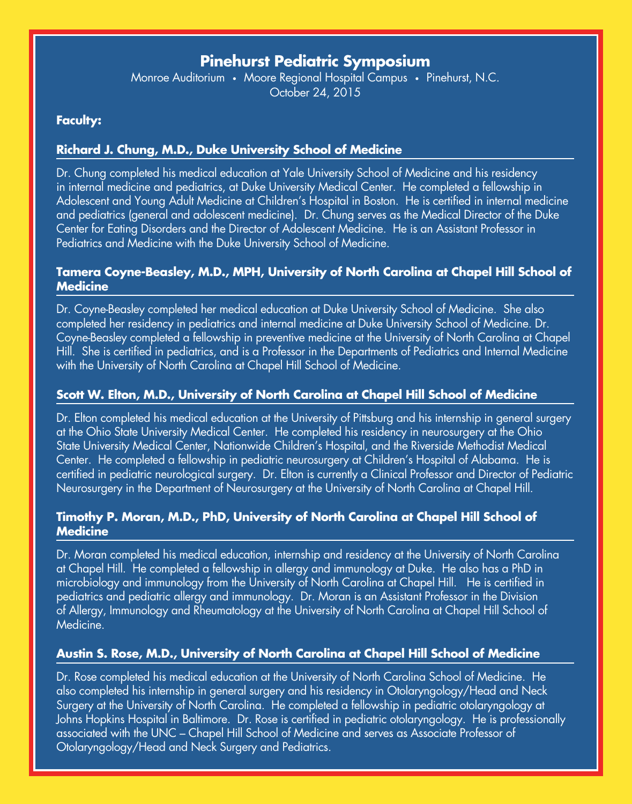# **Pinehurst Pediatric Symposium**

Monroe Auditorium • Moore Regional Hospital Campus • Pinehurst, N.C. October 24, 2015

# **Faculty:**

## **Richard J. Chung, M.D., Duke University School of Medicine**

Dr. Chung completed his medical education at Yale University School of Medicine and his residency in internal medicine and pediatrics, at Duke University Medical Center. He completed a fellowship in Adolescent and Young Adult Medicine at Children's Hospital in Boston. He is certified in internal medicine and pediatrics (general and adolescent medicine). Dr. Chung serves as the Medical Director of the Duke Center for Eating Disorders and the Director of Adolescent Medicine. He is an Assistant Professor in Pediatrics and Medicine with the Duke University School of Medicine.

#### **Tamera Coyne-Beasley, M.D., MPH, University of North Carolina at Chapel Hill School of Medicine**

Dr. Coyne-Beasley completed her medical education at Duke University School of Medicine. She also completed her residency in pediatrics and internal medicine at Duke University School of Medicine. Dr. Coyne-Beasley completed a fellowship in preventive medicine at the University of North Carolina at Chapel Hill. She is certified in pediatrics, and is a Professor in the Departments of Pediatrics and Internal Medicine with the University of North Carolina at Chapel Hill School of Medicine.

### **Scott W. Elton, M.D., University of North Carolina at Chapel Hill School of Medicine**

Dr. Elton completed his medical education at the University of Pittsburg and his internship in general surgery at the Ohio State University Medical Center. He completed his residency in neurosurgery at the Ohio State University Medical Center, Nationwide Children's Hospital, and the Riverside Methodist Medical Center. He completed a fellowship in pediatric neurosurgery at Children's Hospital of Alabama. He is certified in pediatric neurological surgery. Dr. Elton is currently a Clinical Professor and Director of Pediatric Neurosurgery in the Department of Neurosurgery at the University of North Carolina at Chapel Hill.

### **Timothy P. Moran, M.D., PhD, University of North Carolina at Chapel Hill School of Medicine**

Dr. Moran completed his medical education, internship and residency at the University of North Carolina at Chapel Hill. He completed a fellowship in allergy and immunology at Duke. He also has a PhD in microbiology and immunology from the University of North Carolina at Chapel Hill. He is certified in pediatrics and pediatric allergy and immunology. Dr. Moran is an Assistant Professor in the Division of Allergy, Immunology and Rheumatology at the University of North Carolina at Chapel Hill School of Medicine.

## **Austin S. Rose, M.D., University of North Carolina at Chapel Hill School of Medicine**

Dr. Rose completed his medical education at the University of North Carolina School of Medicine. He also completed his internship in general surgery and his residency in Otolaryngology/Head and Neck Surgery at the University of North Carolina. He completed a fellowship in pediatric otolaryngology at Johns Hopkins Hospital in Baltimore. Dr. Rose is certified in pediatric otolaryngology. He is professionally associated with the UNC – Chapel Hill School of Medicine and serves as Associate Professor of Otolaryngology/Head and Neck Surgery and Pediatrics.